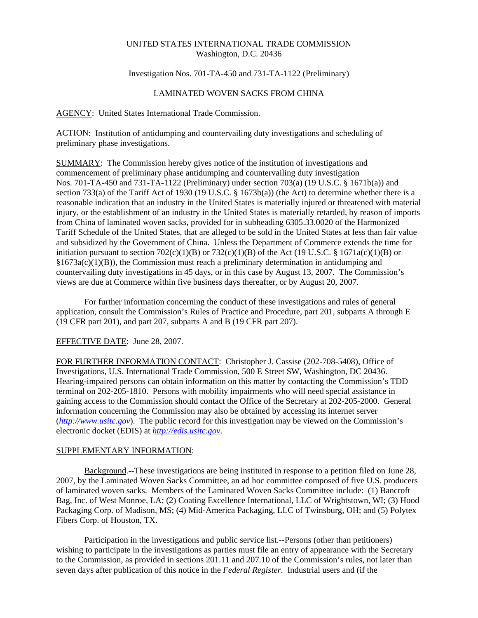### UNITED STATES INTERNATIONAL TRADE COMMISSION Washington, D.C. 20436

#### Investigation Nos. 701-TA-450 and 731-TA-1122 (Preliminary)

#### LAMINATED WOVEN SACKS FROM CHINA

AGENCY: United States International Trade Commission.

ACTION: Institution of antidumping and countervailing duty investigations and scheduling of preliminary phase investigations.

SUMMARY: The Commission hereby gives notice of the institution of investigations and commencement of preliminary phase antidumping and countervailing duty investigation Nos. 701-TA-450 and 731-TA-1122 (Preliminary) under section 703(a) (19 U.S.C. § 1671b(a)) and section 733(a) of the Tariff Act of 1930 (19 U.S.C. § 1673b(a)) (the Act) to determine whether there is a reasonable indication that an industry in the United States is materially injured or threatened with material injury, or the establishment of an industry in the United States is materially retarded, by reason of imports from China of laminated woven sacks, provided for in subheading 6305.33.0020 of the Harmonized Tariff Schedule of the United States, that are alleged to be sold in the United States at less than fair value and subsidized by the Government of China. Unless the Department of Commerce extends the time for initiation pursuant to section  $702(c)(1)(B)$  or  $732(c)(1)(B)$  of the Act (19 U.S.C. § 1671a(c)(1)(B) or  $§1673a(c)(1)(B)$ , the Commission must reach a preliminary determination in antidumping and countervailing duty investigations in 45 days, or in this case by August 13, 2007. The Commission's views are due at Commerce within five business days thereafter, or by August 20, 2007.

For further information concerning the conduct of these investigations and rules of general application, consult the Commission's Rules of Practice and Procedure, part 201, subparts A through E (19 CFR part 201), and part 207, subparts A and B (19 CFR part 207).

# EFFECTIVE DATE: June 28, 2007.

FOR FURTHER INFORMATION CONTACT: Christopher J. Cassise (202-708-5408), Office of Investigations, U.S. International Trade Commission, 500 E Street SW, Washington, DC 20436. Hearing-impaired persons can obtain information on this matter by contacting the Commission's TDD terminal on 202-205-1810. Persons with mobility impairments who will need special assistance in gaining access to the Commission should contact the Office of the Secretary at 202-205-2000. General information concerning the Commission may also be obtained by accessing its internet server (*http://www.usitc.gov*). The public record for this investigation may be viewed on the Commission's electronic docket (EDIS) at *http://edis.usitc.gov*.

## SUPPLEMENTARY INFORMATION:

Background.--These investigations are being instituted in response to a petition filed on June 28, 2007, by the Laminated Woven Sacks Committee, an ad hoc committee composed of five U.S. producers of laminated woven sacks. Members of the Laminated Woven Sacks Committee include: (1) Bancroft Bag, Inc. of West Monroe, LA; (2) Coating Excellence International, LLC of Wrightstown, WI; (3) Hood Packaging Corp. of Madison, MS; (4) Mid-America Packaging, LLC of Twinsburg, OH; and (5) Polytex Fibers Corp. of Houston, TX.

Participation in the investigations and public service list.--Persons (other than petitioners) wishing to participate in the investigations as parties must file an entry of appearance with the Secretary to the Commission, as provided in sections 201.11 and 207.10 of the Commission's rules, not later than seven days after publication of this notice in the *Federal Register*. Industrial users and (if the